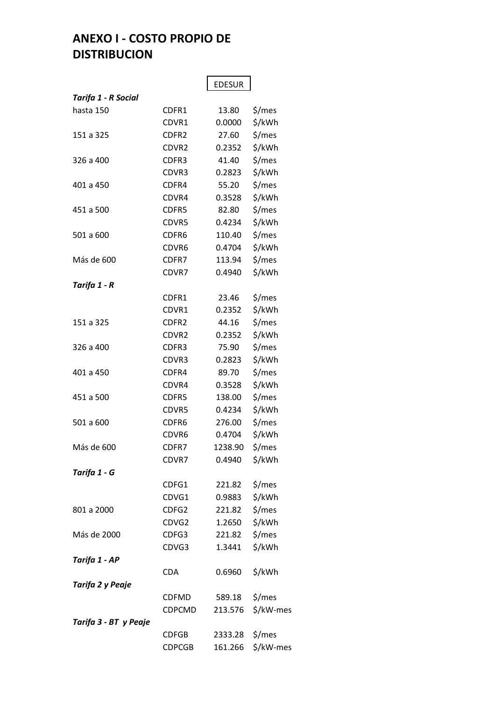## **ANEXO I - COSTO PROPIO DE DISTRIBUCION**

|                       |               | <b>EDESUR</b>  |           |
|-----------------------|---------------|----------------|-----------|
| Tarifa 1 - R Social   |               |                |           |
| hasta 150             | CDFR1         | 13.80          | \$/mes    |
|                       | CDVR1         | 0.0000         | \$/kWh    |
| 151 a 325             | CDFR2         | 27.60          | \$/mes    |
|                       | CDVR2         | 0.2352         | \$/kWh    |
| 326 a 400             | CDFR3         | 41.40          | \$/mes    |
|                       | CDVR3         | 0.2823         | \$/kWh    |
| 401 a 450             | CDFR4         | 55.20          | \$/mes    |
|                       | CDVR4         | 0.3528         | \$/kWh    |
| 451 a 500             | CDFR5         | 82.80          | \$/mes    |
|                       | CDVR5         | 0.4234         | \$/kWh    |
| 501 a 600             | CDFR6         | 110.40         | \$/mes    |
|                       | CDVR6         | 0.4704         | \$/kWh    |
| Más de 600            | CDFR7         | 113.94         | \$/mes    |
|                       | CDVR7         | 0.4940         | \$/kWh    |
| Tarifa 1 - R          |               |                |           |
|                       | CDFR1         | 23.46          | \$/mes    |
|                       | CDVR1         | 0.2352         | \$/kWh    |
| 151 a 325             | CDFR2         | 44.16          | \$/mes    |
|                       | CDVR2         | 0.2352         | \$/kWh    |
| 326 a 400             | CDFR3         | 75.90          | \$/mes    |
|                       | CDVR3         | 0.2823         | \$/kWh    |
| 401 a 450             | CDFR4         | 89.70          | \$/mes    |
|                       | CDVR4         | 0.3528         | \$/kWh    |
| 451 a 500             | CDFR5         | 138.00         | \$/mes    |
|                       | CDVR5         | 0.4234         | \$/kWh    |
| 501 a 600             | CDFR6         | 276.00         | \$/mes    |
|                       | CDVR6         | 0.4704         | \$/kWh    |
| Más de 600            | CDFR7         | 1238.90 \$/mes |           |
|                       | CDVR7         | 0.4940         | \$/kWh    |
| Tarifa 1 - G          |               |                |           |
|                       | CDFG1         | 221.82         | \$/mes    |
|                       | CDVG1         | 0.9883         | \$/kWh    |
| 801 a 2000            | CDFG2         | 221.82         | \$/mes    |
|                       | CDVG2         | 1.2650         | \$/kWh    |
| Más de 2000           | CDFG3         | 221.82         | \$/mes    |
|                       | CDVG3         | 1.3441         | \$/kWh    |
| Tarifa 1 - AP         |               |                |           |
|                       | CDA           | 0.6960         | \$/kWh    |
| Tarifa 2 y Peaje      |               |                |           |
|                       | <b>CDFMD</b>  | 589.18         | \$/mes    |
|                       | CDPCMD        | 213.576        | \$/kW-mes |
| Tarifa 3 - BT y Peaje |               |                |           |
|                       | <b>CDFGB</b>  | 2333.28 \$/mes |           |
|                       | <b>CDPCGB</b> | 161.266        | \$/kW-mes |